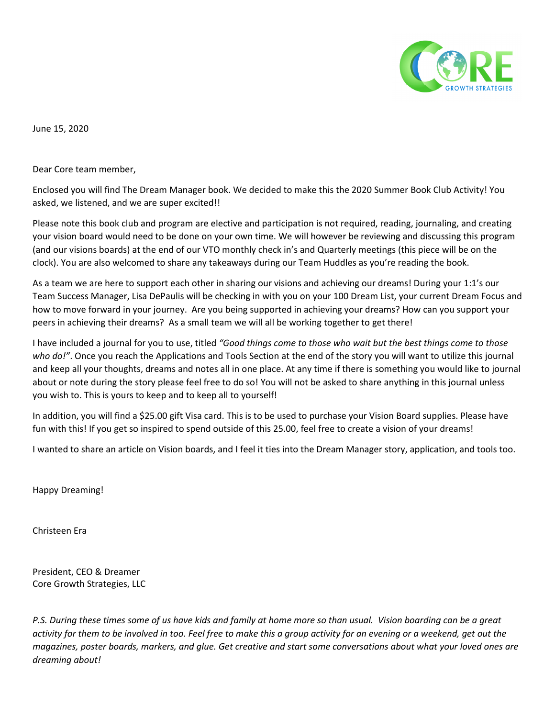

June 15, 2020

Dear Core team member,

Enclosed you will find The Dream Manager book. We decided to make this the 2020 Summer Book Club Activity! You asked, we listened, and we are super excited!!

Please note this book club and program are elective and participation is not required, reading, journaling, and creating your vision board would need to be done on your own time. We will however be reviewing and discussing this program (and our visions boards) at the end of our VTO monthly check in's and Quarterly meetings (this piece will be on the clock). You are also welcomed to share any takeaways during our Team Huddles as you're reading the book.

As a team we are here to support each other in sharing our visions and achieving our dreams! During your 1:1's our Team Success Manager, Lisa DePaulis will be checking in with you on your 100 Dream List, your current Dream Focus and how to move forward in your journey. Are you being supported in achieving your dreams? How can you support your peers in achieving their dreams? As a small team we will all be working together to get there!

I have included a journal for you to use, titled *"Good things come to those who wait but the best things come to those who do!"*. Once you reach the Applications and Tools Section at the end of the story you will want to utilize this journal and keep all your thoughts, dreams and notes all in one place. At any time if there is something you would like to journal about or note during the story please feel free to do so! You will not be asked to share anything in this journal unless you wish to. This is yours to keep and to keep all to yourself!

In addition, you will find a \$25.00 gift Visa card. This is to be used to purchase your Vision Board supplies. Please have fun with this! If you get so inspired to spend outside of this 25.00, feel free to create a vision of your dreams!

I wanted to share an article on Vision boards, and I feel it ties into the Dream Manager story, application, and tools too.

Happy Dreaming!

Christeen Era

President, CEO & Dreamer Core Growth Strategies, LLC

*P.S. During these times some of us have kids and family at home more so than usual. Vision boarding can be a great activity for them to be involved in too. Feel free to make this a group activity for an evening or a weekend, get out the magazines, poster boards, markers, and glue. Get creative and start some conversations about what your loved ones are dreaming about!*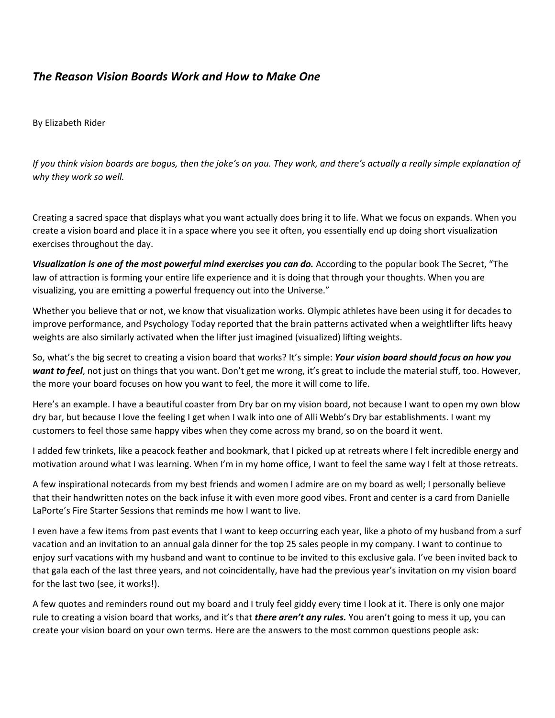# *The Reason Vision Boards Work and How to Make One*

By Elizabeth Rider

*If you think vision boards are bogus, then the joke's on you. They work, and there's actually a really simple explanation of why they work so well.* 

Creating a sacred space that displays what you want actually does bring it to life. What we focus on expands. When you create a vision board and place it in a space where you see it often, you essentially end up doing short visualization exercises throughout the day.

*Visualization is one of the most powerful mind exercises you can do.* According to the popular book The Secret, "The law of attraction is forming your entire life experience and it is doing that through your thoughts. When you are visualizing, you are emitting a powerful frequency out into the Universe."

Whether you believe that or not, we know that visualization works. Olympic athletes have been using it for decades to improve performance, and Psychology Today reported that the brain patterns activated when a weightlifter lifts heavy weights are also similarly activated when the lifter just imagined (visualized) lifting weights.

So, what's the big secret to creating a vision board that works? It's simple: *Your vision board should focus on how you want to feel*, not just on things that you want. Don't get me wrong, it's great to include the material stuff, too. However, the more your board focuses on how you want to feel, the more it will come to life.

Here's an example. I have a beautiful coaster from Dry bar on my vision board, not because I want to open my own blow dry bar, but because I love the feeling I get when I walk into one of Alli Webb's Dry bar establishments. I want my customers to feel those same happy vibes when they come across my brand, so on the board it went.

I added few trinkets, like a peacock feather and bookmark, that I picked up at retreats where I felt incredible energy and motivation around what I was learning. When I'm in my home office, I want to feel the same way I felt at those retreats.

A few inspirational notecards from my best friends and women I admire are on my board as well; I personally believe that their handwritten notes on the back infuse it with even more good vibes. Front and center is a card from Danielle LaPorte's Fire Starter Sessions that reminds me how I want to live.

I even have a few items from past events that I want to keep occurring each year, like a photo of my husband from a surf vacation and an invitation to an annual gala dinner for the top 25 sales people in my company. I want to continue to enjoy surf vacations with my husband and want to continue to be invited to this exclusive gala. I've been invited back to that gala each of the last three years, and not coincidentally, have had the previous year's invitation on my vision board for the last two (see, it works!).

A few quotes and reminders round out my board and I truly feel giddy every time I look at it. There is only one major rule to creating a vision board that works, and it's that *there aren't any rules.* You aren't going to mess it up, you can create your vision board on your own terms. Here are the answers to the most common questions people ask: